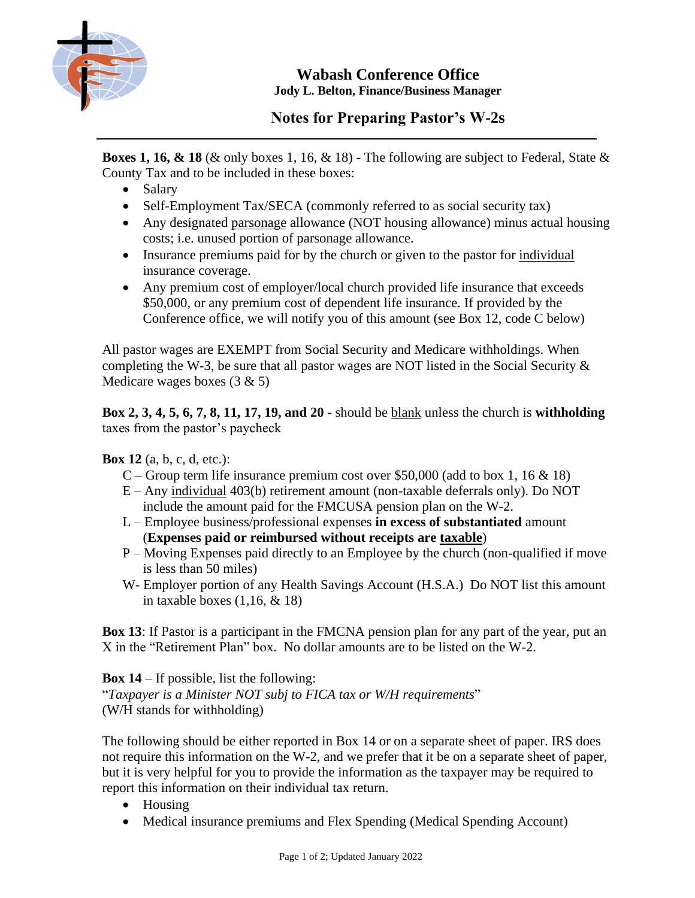

**Wabash Conference Office Jody L. Belton, Finance/Business Manager**

## **Notes for Preparing Pastor's W-2s**

**Boxes 1, 16, & 18** (& only boxes 1, 16, & 18) - The following are subject to Federal, State & County Tax and to be included in these boxes:

- Salary
- Self-Employment Tax/SECA (commonly referred to as social security tax)
- Any designated parsonage allowance (NOT housing allowance) minus actual housing costs; i.e. unused portion of parsonage allowance.
- Insurance premiums paid for by the church or given to the pastor for individual insurance coverage.
- Any premium cost of employer/local church provided life insurance that exceeds \$50,000, or any premium cost of dependent life insurance. If provided by the Conference office, we will notify you of this amount (see Box 12, code C below)

All pastor wages are EXEMPT from Social Security and Medicare withholdings. When completing the W-3, be sure that all pastor wages are NOT listed in the Social Security & Medicare wages boxes (3 & 5)

**Box 2, 3, 4, 5, 6, 7, 8, 11, 17, 19, and 20** - should be blank unless the church is **withholding** taxes from the pastor's paycheck

## **Box 12** (a, b, c, d, etc.):

- C Group term life insurance premium cost over \$50,000 (add to box 1, 16  $\&$  18)
- E Any individual 403(b) retirement amount (non-taxable deferrals only). Do NOT include the amount paid for the FMCUSA pension plan on the W-2.
- L Employee business/professional expenses **in excess of substantiated** amount (**Expenses paid or reimbursed without receipts are taxable**)
- P Moving Expenses paid directly to an Employee by the church (non-qualified if move is less than 50 miles)
- W- Employer portion of any Health Savings Account (H.S.A.) Do NOT list this amount in taxable boxes  $(1,16, \& 18)$

**Box 13**: If Pastor is a participant in the FMCNA pension plan for any part of the year, put an X in the "Retirement Plan" box. No dollar amounts are to be listed on the W-2.

**Box 14** – If possible, list the following: "*Taxpayer is a Minister NOT subj to FICA tax or W/H requirements*" (W/H stands for withholding)

The following should be either reported in Box 14 or on a separate sheet of paper. IRS does not require this information on the W-2, and we prefer that it be on a separate sheet of paper, but it is very helpful for you to provide the information as the taxpayer may be required to report this information on their individual tax return.

- Housing
- Medical insurance premiums and Flex Spending (Medical Spending Account)